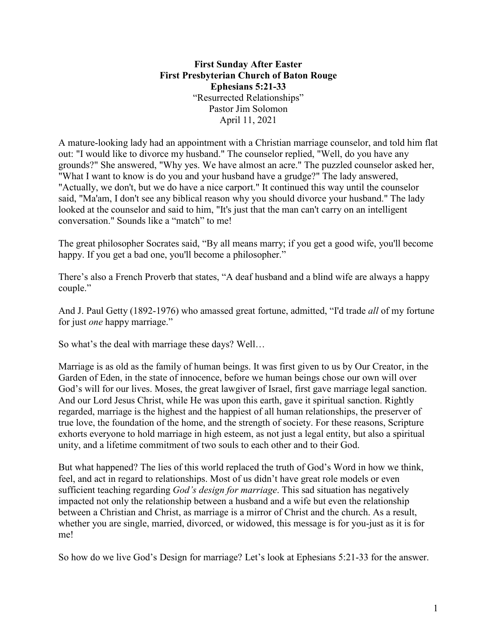**First Sunday After Easter First Presbyterian Church of Baton Rouge Ephesians 5:21-33** "Resurrected Relationships" Pastor Jim Solomon April 11, 2021

A mature-looking lady had an appointment with a Christian marriage counselor, and told him flat out: "I would like to divorce my husband." The counselor replied, "Well, do you have any grounds?" She answered, "Why yes. We have almost an acre." The puzzled counselor asked her, "What I want to know is do you and your husband have a grudge?" The lady answered, "Actually, we don't, but we do have a nice carport." It continued this way until the counselor said, "Ma'am, I don't see any biblical reason why you should divorce your husband." The lady looked at the counselor and said to him, "It's just that the man can't carry on an intelligent conversation." Sounds like a "match" to me!

The great philosopher Socrates said, "By all means marry; if you get a good wife, you'll become happy. If you get a bad one, you'll become a philosopher."

There's also a French Proverb that states, "A deaf husband and a blind wife are always a happy couple."

And J. Paul Getty (1892-1976) who amassed great fortune, admitted, "I'd trade *all* of my fortune for just *one* happy marriage."

So what's the deal with marriage these days? Well…

Marriage is as old as the family of human beings. It was first given to us by Our Creator, in the Garden of Eden, in the state of innocence, before we human beings chose our own will over God's will for our lives. Moses, the great lawgiver of Israel, first gave marriage legal sanction. And our Lord Jesus Christ, while He was upon this earth, gave it spiritual sanction. Rightly regarded, marriage is the highest and the happiest of all human relationships, the preserver of true love, the foundation of the home, and the strength of society. For these reasons, Scripture exhorts everyone to hold marriage in high esteem, as not just a legal entity, but also a spiritual unity, and a lifetime commitment of two souls to each other and to their God.

But what happened? The lies of this world replaced the truth of God's Word in how we think, feel, and act in regard to relationships. Most of us didn't have great role models or even sufficient teaching regarding *God's design for marriage*. This sad situation has negatively impacted not only the relationship between a husband and a wife but even the relationship between a Christian and Christ, as marriage is a mirror of Christ and the church. As a result, whether you are single, married, divorced, or widowed, this message is for you-just as it is for me!

So how do we live God's Design for marriage? Let's look at Ephesians 5:21-33 for the answer.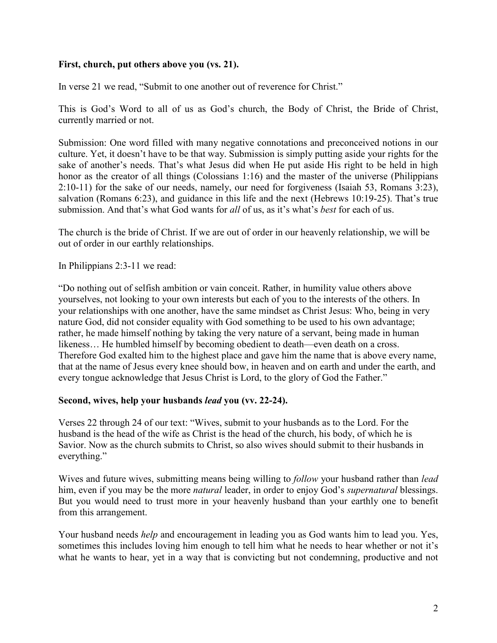## **First, church, put others above you (vs. 21).**

In verse 21 we read, "Submit to one another out of reverence for Christ."

This is God's Word to all of us as God's church, the Body of Christ, the Bride of Christ, currently married or not.

Submission: One word filled with many negative connotations and preconceived notions in our culture. Yet, it doesn't have to be that way. Submission is simply putting aside your rights for the sake of another's needs. That's what Jesus did when He put aside His right to be held in high honor as the creator of all things (Colossians 1:16) and the master of the universe (Philippians 2:10-11) for the sake of our needs, namely, our need for forgiveness (Isaiah 53, Romans 3:23), salvation (Romans 6:23), and guidance in this life and the next (Hebrews 10:19-25). That's true submission. And that's what God wants for *all* of us, as it's what's *best* for each of us.

The church is the bride of Christ. If we are out of order in our heavenly relationship, we will be out of order in our earthly relationships.

In Philippians 2:3-11 we read:

"Do nothing out of selfish ambition or vain conceit. Rather, in humility value others above yourselves, not looking to your own interests but each of you to the interests of the others. In your relationships with one another, have the same mindset as Christ Jesus: Who, being in very nature God, did not consider equality with God something to be used to his own advantage; rather, he made himself nothing by taking the very nature of a servant, being made in human likeness… He humbled himself by becoming obedient to death—even death on a cross. Therefore God exalted him to the highest place and gave him the name that is above every name, that at the name of Jesus every knee should bow, in heaven and on earth and under the earth, and every tongue acknowledge that Jesus Christ is Lord, to the glory of God the Father."

## **Second, wives, help your husbands** *lead* **you (vv. 22-24).**

Verses 22 through 24 of our text: "Wives, submit to your husbands as to the Lord. For the husband is the head of the wife as Christ is the head of the church, his body, of which he is Savior. Now as the church submits to Christ, so also wives should submit to their husbands in everything."

Wives and future wives, submitting means being willing to *follow* your husband rather than *lead* him, even if you may be the more *natural* leader, in order to enjoy God's *supernatural* blessings. But you would need to trust more in your heavenly husband than your earthly one to benefit from this arrangement.

Your husband needs *help* and encouragement in leading you as God wants him to lead you. Yes, sometimes this includes loving him enough to tell him what he needs to hear whether or not it's what he wants to hear, yet in a way that is convicting but not condemning, productive and not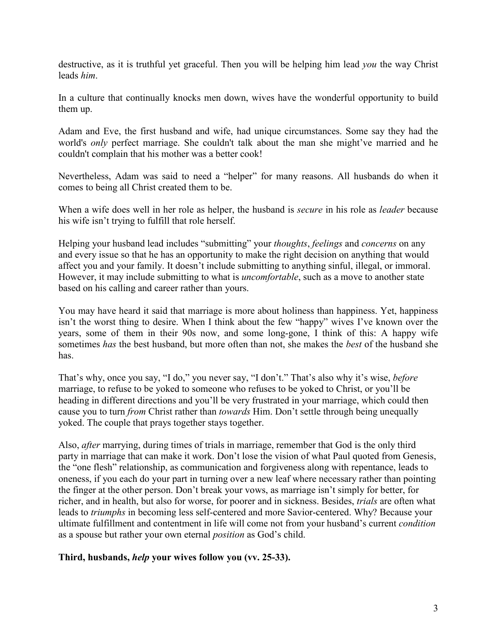destructive, as it is truthful yet graceful. Then you will be helping him lead *you* the way Christ leads *him*.

In a culture that continually knocks men down, wives have the wonderful opportunity to build them up.

Adam and Eve, the first husband and wife, had unique circumstances. Some say they had the world's *only* perfect marriage. She couldn't talk about the man she might've married and he couldn't complain that his mother was a better cook!

Nevertheless, Adam was said to need a "helper" for many reasons. All husbands do when it comes to being all Christ created them to be.

When a wife does well in her role as helper, the husband is *secure* in his role as *leader* because his wife isn't trying to fulfill that role herself.

Helping your husband lead includes "submitting" your *thoughts*, *feelings* and *concerns* on any and every issue so that he has an opportunity to make the right decision on anything that would affect you and your family. It doesn't include submitting to anything sinful, illegal, or immoral. However, it may include submitting to what is *uncomfortable*, such as a move to another state based on his calling and career rather than yours.

You may have heard it said that marriage is more about holiness than happiness. Yet, happiness isn't the worst thing to desire. When I think about the few "happy" wives I've known over the years, some of them in their 90s now, and some long-gone, I think of this: A happy wife sometimes *has* the best husband, but more often than not, she makes the *best* of the husband she has.

That's why, once you say, "I do," you never say, "I don't." That's also why it's wise, *before* marriage, to refuse to be yoked to someone who refuses to be yoked to Christ, or you'll be heading in different directions and you'll be very frustrated in your marriage, which could then cause you to turn *from* Christ rather than *towards* Him. Don't settle through being unequally yoked. The couple that prays together stays together.

Also, *after* marrying, during times of trials in marriage, remember that God is the only third party in marriage that can make it work. Don't lose the vision of what Paul quoted from Genesis, the "one flesh" relationship, as communication and forgiveness along with repentance, leads to oneness, if you each do your part in turning over a new leaf where necessary rather than pointing the finger at the other person. Don't break your vows, as marriage isn't simply for better, for richer, and in health, but also for worse, for poorer and in sickness. Besides, *trials* are often what leads to *triumphs* in becoming less self-centered and more Savior-centered. Why? Because your ultimate fulfillment and contentment in life will come not from your husband's current *condition* as a spouse but rather your own eternal *position* as God's child.

## **Third, husbands,** *help* **your wives follow you (vv. 25-33).**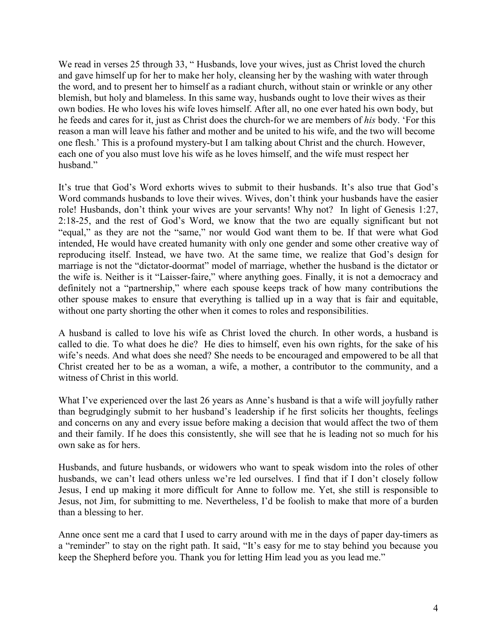We read in verses 25 through 33, "Husbands, love your wives, just as Christ loved the church and gave himself up for her to make her holy, cleansing her by the washing with water through the word, and to present her to himself as a radiant church, without stain or wrinkle or any other blemish, but holy and blameless. In this same way, husbands ought to love their wives as their own bodies. He who loves his wife loves himself. After all, no one ever hated his own body, but he feeds and cares for it, just as Christ does the church-for we are members of *his* body. 'For this reason a man will leave his father and mother and be united to his wife, and the two will become one flesh.' This is a profound mystery-but I am talking about Christ and the church. However, each one of you also must love his wife as he loves himself, and the wife must respect her husband."

It's true that God's Word exhorts wives to submit to their husbands. It's also true that God's Word commands husbands to love their wives. Wives, don't think your husbands have the easier role! Husbands, don't think your wives are your servants! Why not? In light of Genesis 1:27, 2:18-25, and the rest of God's Word, we know that the two are equally significant but not "equal," as they are not the "same," nor would God want them to be. If that were what God intended, He would have created humanity with only one gender and some other creative way of reproducing itself. Instead, we have two. At the same time, we realize that God's design for marriage is not the "dictator-doormat" model of marriage, whether the husband is the dictator or the wife is. Neither is it "Laisser-faire," where anything goes. Finally, it is not a democracy and definitely not a "partnership," where each spouse keeps track of how many contributions the other spouse makes to ensure that everything is tallied up in a way that is fair and equitable, without one party shorting the other when it comes to roles and responsibilities.

A husband is called to love his wife as Christ loved the church. In other words, a husband is called to die. To what does he die? He dies to himself, even his own rights, for the sake of his wife's needs. And what does she need? She needs to be encouraged and empowered to be all that Christ created her to be as a woman, a wife, a mother, a contributor to the community, and a witness of Christ in this world.

What I've experienced over the last 26 years as Anne's husband is that a wife will joyfully rather than begrudgingly submit to her husband's leadership if he first solicits her thoughts, feelings and concerns on any and every issue before making a decision that would affect the two of them and their family. If he does this consistently, she will see that he is leading not so much for his own sake as for hers.

Husbands, and future husbands, or widowers who want to speak wisdom into the roles of other husbands, we can't lead others unless we're led ourselves. I find that if I don't closely follow Jesus, I end up making it more difficult for Anne to follow me. Yet, she still is responsible to Jesus, not Jim, for submitting to me. Nevertheless, I'd be foolish to make that more of a burden than a blessing to her.

Anne once sent me a card that I used to carry around with me in the days of paper day-timers as a "reminder" to stay on the right path. It said, "It's easy for me to stay behind you because you keep the Shepherd before you. Thank you for letting Him lead you as you lead me."